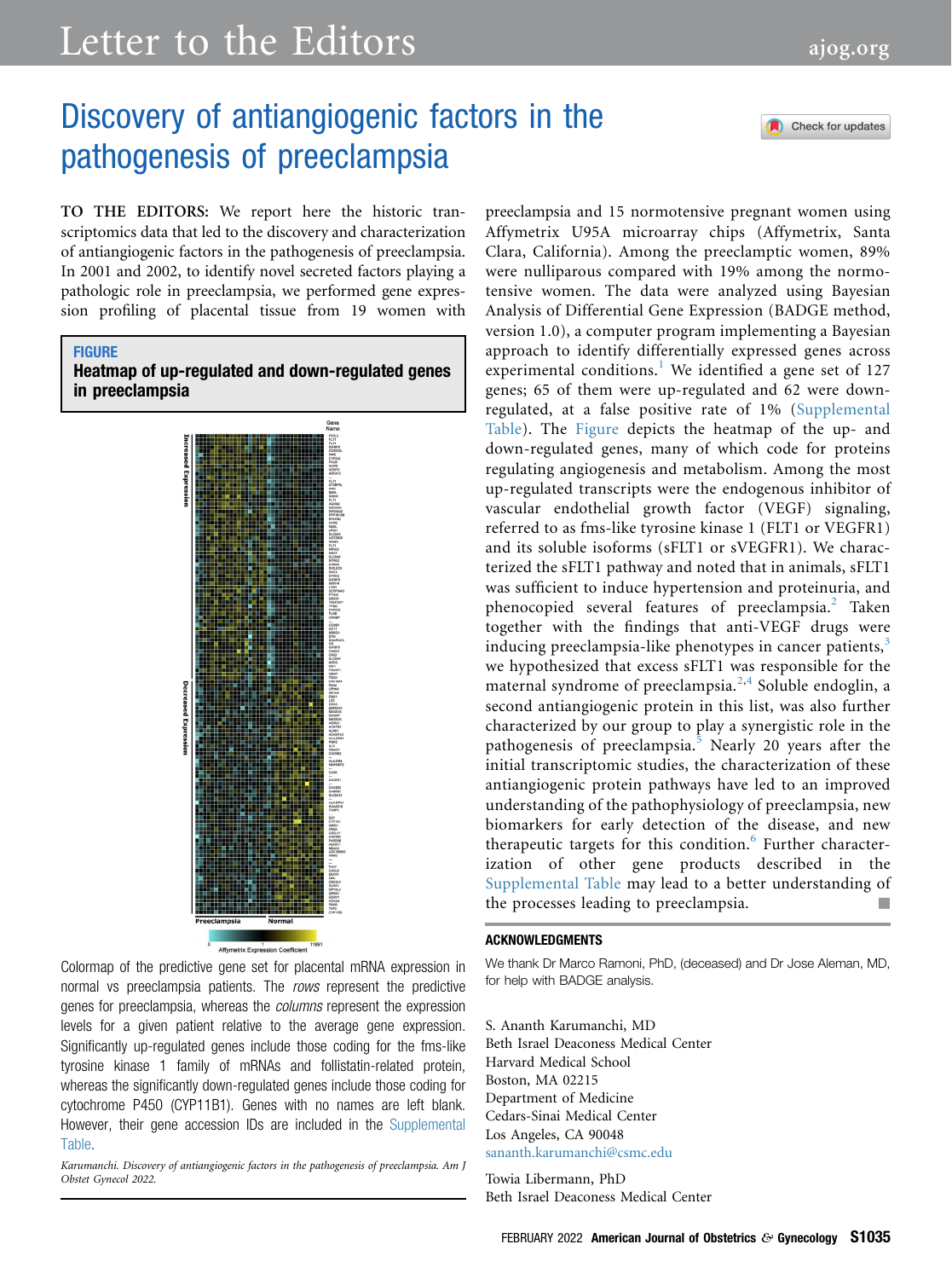# Letter to the Editors [ajog.org](http://www.AJOG.org)

Check for updates

## Discovery of antiangiogenic factors in the pathogenesis of preeclampsia

TO THE EDITORS: We report here the historic transcriptomics data that led to the discovery and characterization of antiangiogenic factors in the pathogenesis of preeclampsia. In 2001 and 2002, to identify novel secreted factors playing a pathologic role in preeclampsia, we performed gene expression profiling of placental tissue from 19 women with

## <span id="page-0-0"></span>**FIGURE** Heatmap of up-regulated and down-regulated genes in preeclampsia



Colormap of the predictive gene set for placental mRNA expression in normal vs preeclampsia patients. The *rows* represent the predictive genes for preeclampsia, whereas the *columns* represent the expression levels for a given patient relative to the average gene expression. Significantly up-regulated genes include those coding for the fms-like tyrosine kinase 1 family of mRNAs and follistatin-related protein, whereas the significantly down-regulated genes include those coding for cytochrome P450 (CYP11B1). Genes with no names are left blank. However, their gene accession IDs are included in the [Supplemental](#page-2-0) [Table](#page-2-0).

Karumanchi. Discovery of antiangiogenic factors in the pathogenesis of preeclampsia. Am J Obstet Gynecol 2022.

preeclampsia and 15 normotensive pregnant women using Affymetrix U95A microarray chips (Affymetrix, Santa Clara, California). Among the preeclamptic women, 89% were nulliparous compared with 19% among the normotensive women. The data were analyzed using Bayesian Analysis of Differential Gene Expression (BADGE method, version 1.0), a computer program implementing a Bayesian approach to identify differentially expressed genes across experimental conditions.<sup>[1](#page-1-0)</sup> We identified a gene set of  $127$ genes; 65 of them were up-regulated and 62 were downregulated, at a false positive rate of 1% [\(Supplemental](#page-2-0) [Table\)](#page-2-0). The [Figure](#page-0-0) depicts the heatmap of the up- and down-regulated genes, many of which code for proteins regulating angiogenesis and metabolism. Among the most up-regulated transcripts were the endogenous inhibitor of vascular endothelial growth factor (VEGF) signaling, referred to as fms-like tyrosine kinase 1 (FLT1 or VEGFR1) and its soluble isoforms (sFLT1 or sVEGFR1). We characterized the sFLT1 pathway and noted that in animals, sFLT1 was sufficient to induce hypertension and proteinuria, and phenocopied several features of preeclampsia.<sup>[2](#page-1-1)</sup> Taken together with the findings that anti-VEGF drugs were inducing preeclampsia-like phenotypes in cancer patients,<sup>[3](#page-1-2)</sup> we hypothesized that excess sFLT1 was responsible for the maternal syndrome of preeclampsia.<sup>[2,](#page-1-1)[4](#page-1-3)</sup> Soluble endoglin, a second antiangiogenic protein in this list, was also further characterized by our group to play a synergistic role in the pathogenesis of preeclampsia.<sup>[5](#page-1-4)</sup> Nearly 20 years after the initial transcriptomic studies, the characterization of these antiangiogenic protein pathways have led to an improved understanding of the pathophysiology of preeclampsia, new biomarkers for early detection of the disease, and new therapeutic targets for this condition.<sup>[6](#page-1-5)</sup> Further characterization of other gene products described in the [Supplemental Table](#page-2-0) may lead to a better understanding of the processes leading to preeclampsia.

### ACKNOWLEDGMENTS

We thank Dr Marco Ramoni, PhD, (deceased) and Dr Jose Aleman, MD, for help with BADGE analysis.

S. Ananth Karumanchi, MD Beth Israel Deaconess Medical Center Harvard Medical School Boston, MA 02215 Department of Medicine Cedars-Sinai Medical Center Los Angeles, CA 90048 [sananth.karumanchi@csmc.edu](mailto:sananth.karumanchi@csmc.edu)

Towia Libermann, PhD Beth Israel Deaconess Medical Center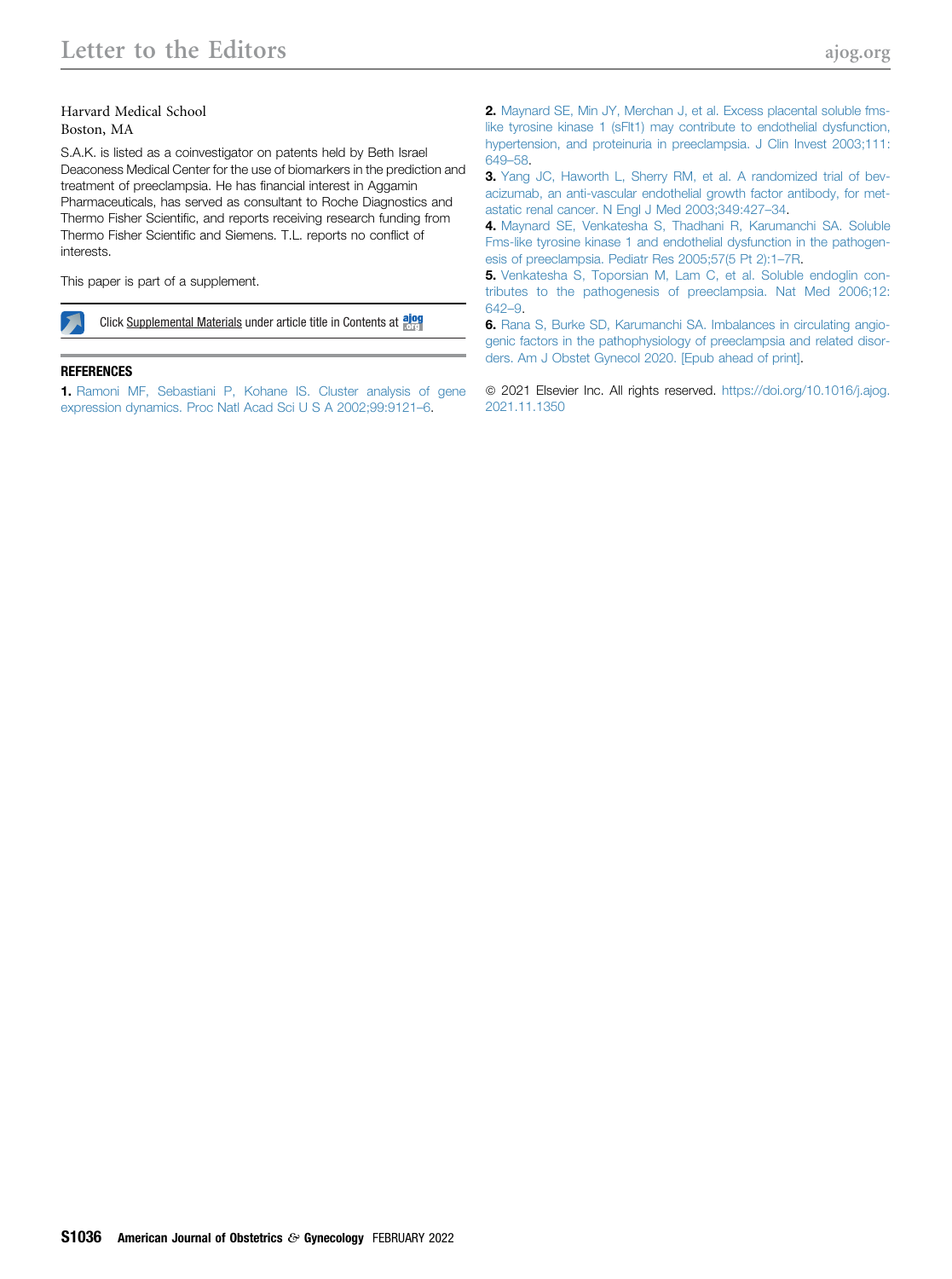### Harvard Medical School Boston, MA

S.A.K. is listed as a coinvestigator on patents held by Beth Israel Deaconess Medical Center for the use of biomarkers in the prediction and treatment of preeclampsia. He has financial interest in Aggamin Pharmaceuticals, has served as consultant to Roche Diagnostics and Thermo Fisher Scientific, and reports receiving research funding from Thermo Fisher Scientific and Siemens. T.L. reports no conflict of interests.

This paper is part of a supplement.

Click Supplemental Materials under article title in Contents at along

#### REFERENCES

<span id="page-1-0"></span>1. [Ramoni MF, Sebastiani P, Kohane IS. Cluster analysis of gene](http://refhub.elsevier.com/S0002-9378(21)02579-5/sref1) [expression dynamics. Proc Natl Acad Sci U S A 2002;99:9121](http://refhub.elsevier.com/S0002-9378(21)02579-5/sref1)–6.

<span id="page-1-1"></span>2. [Maynard SE, Min JY, Merchan J, et al. Excess placental soluble fms](http://refhub.elsevier.com/S0002-9378(21)02579-5/sref2)[like tyrosine kinase 1 \(sFlt1\) may contribute to endothelial dysfunction,](http://refhub.elsevier.com/S0002-9378(21)02579-5/sref2) [hypertension, and proteinuria in preeclampsia. J Clin Invest 2003;111:](http://refhub.elsevier.com/S0002-9378(21)02579-5/sref2) [649](http://refhub.elsevier.com/S0002-9378(21)02579-5/sref2)–58.

<span id="page-1-2"></span>3. [Yang JC, Haworth L, Sherry RM, et al. A randomized trial of bev](http://refhub.elsevier.com/S0002-9378(21)02579-5/sref3)[acizumab, an anti-vascular endothelial growth factor antibody, for met](http://refhub.elsevier.com/S0002-9378(21)02579-5/sref3)[astatic renal cancer. N Engl J Med 2003;349:427](http://refhub.elsevier.com/S0002-9378(21)02579-5/sref3)–34.

<span id="page-1-3"></span>4. [Maynard SE, Venkatesha S, Thadhani R, Karumanchi SA. Soluble](http://refhub.elsevier.com/S0002-9378(21)02579-5/sref4) [Fms-like tyrosine kinase 1 and endothelial dysfunction in the pathogen](http://refhub.elsevier.com/S0002-9378(21)02579-5/sref4)[esis of preeclampsia. Pediatr Res 2005;57\(5 Pt 2\):1](http://refhub.elsevier.com/S0002-9378(21)02579-5/sref4)–7R.

<span id="page-1-4"></span>5. [Venkatesha S, Toporsian M, Lam C, et al. Soluble endoglin con](http://refhub.elsevier.com/S0002-9378(21)02579-5/sref5)[tributes to the pathogenesis of preeclampsia. Nat Med 2006;12:](http://refhub.elsevier.com/S0002-9378(21)02579-5/sref5) [642](http://refhub.elsevier.com/S0002-9378(21)02579-5/sref5)–9.

<span id="page-1-5"></span>6. [Rana S, Burke SD, Karumanchi SA. Imbalances in circulating angio](http://refhub.elsevier.com/S0002-9378(21)02579-5/sref6)[genic factors in the pathophysiology of preeclampsia and related disor](http://refhub.elsevier.com/S0002-9378(21)02579-5/sref6)[ders. Am J Obstet Gynecol 2020. \[Epub ahead of print\]](http://refhub.elsevier.com/S0002-9378(21)02579-5/sref6).

© 2021 Elsevier Inc. All rights reserved. [https://doi.org/10.1016/j.ajog.](https://doi.org/10.1016/j.ajog.2021.11.1350) [2021.11.1350](https://doi.org/10.1016/j.ajog.2021.11.1350)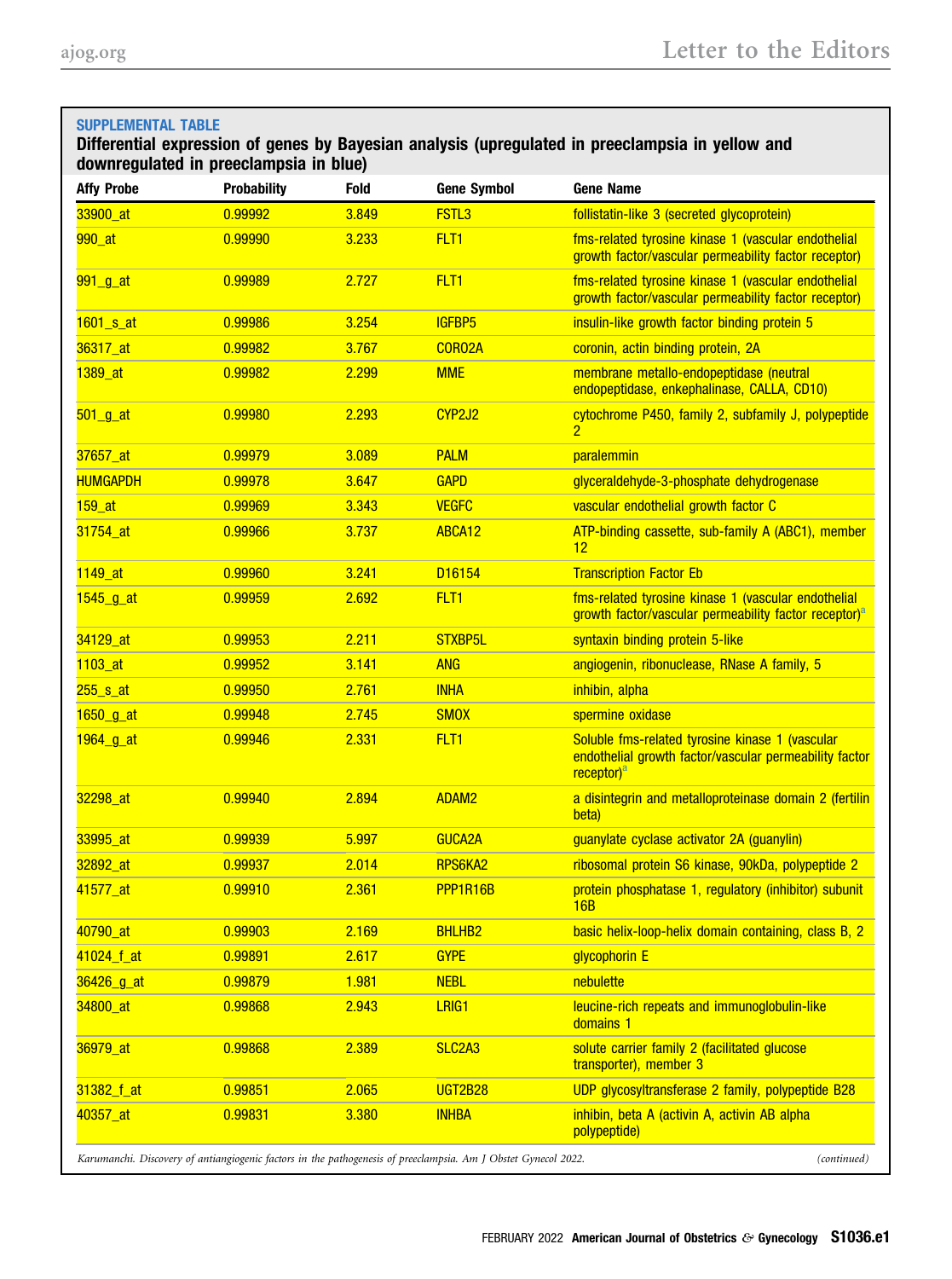## <span id="page-2-0"></span>SUPPLEMENTAL TABLE Differential expression of genes by Bayesian analysis (upregulated in preeclampsia in yellow and downregulated in preeclampsia in blue) Affy Probe Probability Fold Gene Symbol Gene Name 33900\_at 0.99992 3.849 FSTL3 follistatin-like 3 (secreted glycoprotein) 990 at 0.99990 3.233 FLT1 fms-related tyrosine kinase 1 (vascular endothelial endothelial growth factor/vascular permeability factor receptor) 991\_g\_at 0.99989 2.727 FLT1 fms-related tyrosine kinase 1 (vascular endothelial endothelial growth factor/vascular permeability factor receptor) 1601\_s\_at 0.99986 3.254 IGFBP5 insulin-like growth factor binding protein 5 36317\_at 0.99982 3.767 CORO2A coronin, actin binding protein, 2A 1389\_at 0.99982 2.299 MME membrane metallo-endopeptidase (neutral endopeptidase, enkephalinase, CALLA, CD10) 501\_g\_at 0.99980 2.293 CYP2J2 cytochrome P450, family 2, subfamily J, polypeptide 2 37657\_at 0.99979 3.089 PALM paralemmin HUMGAPDH 0.99978 3.647 GAPD glyceraldehyde-3-phosphate dehydrogenase 159\_at 0.99969 3.343 VEGFC vascular endothelial growth factor C 31754\_at 0.99966 3.737 ABCA12 ATP-binding cassette, sub-family A (ABC1), member 12 1149\_at 0.99960 3.241 D16154 Transcription Factor Eb 1545\_g\_at 0.99959 2.692 FLT1 fms-related tyrosine kinase 1 (vascular endothelial growth f[a](#page-6-0)ctor/vascular permeability factor receptor)<sup>a</sup> 34129\_at 0.99953 2.211 STXBP5L syntaxin binding protein 5-like 1103 at  $103$ <sub>at</sub> 0.99952 3.141 ANG angiogenin, ribonuclease, RNase A family, 5 255\_s\_at 0.99950 2.761 INHA inhibin, alpha 1650\_g\_at 0.99948 2.745 SMOX spermine oxidase 1964\_g\_at 1962\_0.99946 2.331 FLT1 Soluble fms-related tyrosine kinase 1 (vascular endothelial growth factor/vascular permeability factor receptor)<sup>[a](#page-6-0)</sup> 32298\_at 0.99940 2.894 ADAM2 a disintegrin and metalloproteinase domain 2 (fertilin beta) 33995\_at 0.99939 5.997 GUCA2A guanylate cyclase activator 2A (guanylin) 32892\_at 0.99937 2.014 RPS6KA2 ribosomal protein S6 kinase, 90kDa, polypeptide 2 41577\_at 0.99910 2.361 PPP1R16B protein phosphatase 1, regulatory (inhibitor) subunit 16B 40790\_at 0.99903 2.169 BHLHB2 basic helix-loop-helix domain containing, class B, 2 41024\_f\_at 0.99891 2.617 GYPE glycophorin E 36426\_g\_at 0.99879 1.981 NEBL nebulette 34800 at 0.99868 2.943 LRIG1 leucine-rich repeats and immunoglobulin-like domains 1 36979\_at 0.99868 2.389 SLC2A3 solute carrier family 2 (facilitated glucose transporter), member 3 31382\_f\_at 0.99851 2.065 UGT2B28 UDP glycosyltransferase 2 family, polypeptide B28 40357\_at 0.99831 3.380 INHBA inhibin, beta A (activin A, activin AB alpha polypeptide)

Karumanchi. Discovery of antiangiogenic factors in the pathogenesis of preeclampsia. Am J Obstet Gynecol 2022. (continued)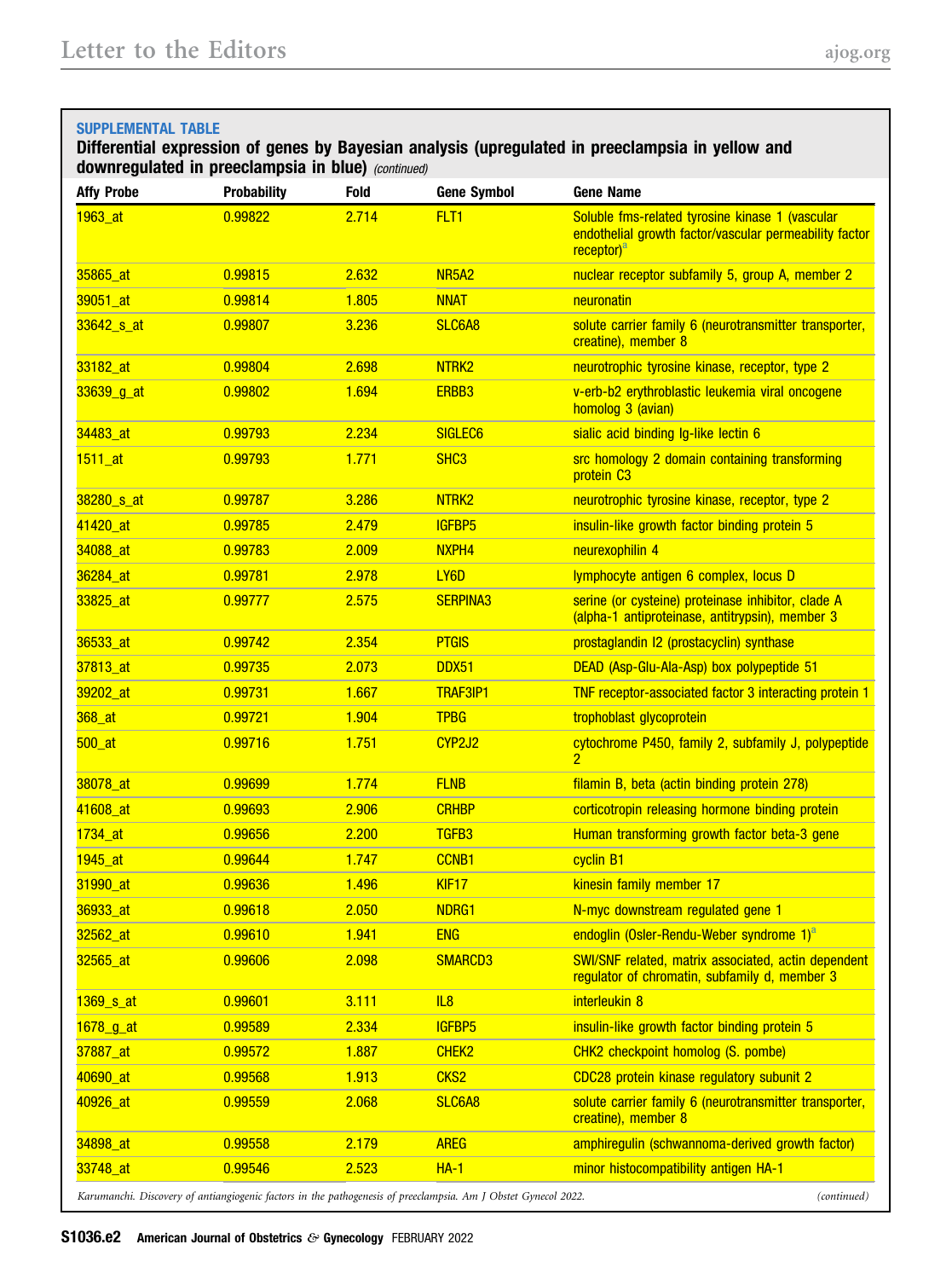## SUPPLEMENTAL TABLE

## Differential expression of genes by Bayesian analysis (upregulated in preeclampsia in yellow and downregulated in preeclampsia in blue) (continued)

| <b>Affy Probe</b>      | <b>Probability</b> | <b>Fold</b> | <b>Gene Symbol</b>             | <b>Gene Name</b>                                                                                                                    |
|------------------------|--------------------|-------------|--------------------------------|-------------------------------------------------------------------------------------------------------------------------------------|
| 1963_at                | 0.99822            | 2.714       | FLT <sub>1</sub>               | Soluble fms-related tyrosine kinase 1 (vascular<br>endothelial growth factor/vascular permeability factor<br>receptor) <sup>a</sup> |
| 35865_at               | 0.99815            | 2.632       | NR <sub>5</sub> A <sub>2</sub> | nuclear receptor subfamily 5, group A, member 2                                                                                     |
| 39051_at               | 0.99814            | 1.805       | <b>NNAT</b>                    | neuronatin                                                                                                                          |
| 33642 <sub>_S_at</sub> | 0.99807            | 3.236       | SLC6A8                         | solute carrier family 6 (neurotransmitter transporter,<br>creatine), member 8                                                       |
| 33182_at               | 0.99804            | 2.698       | NTRK <sub>2</sub>              | neurotrophic tyrosine kinase, receptor, type 2                                                                                      |
| $33639$ g at           | 0.99802            | 1.694       | ERBB3                          | v-erb-b2 erythroblastic leukemia viral oncogene<br>homolog 3 (avian)                                                                |
| 34483_at               | 0.99793            | 2.234       | SIGLEC <sub>6</sub>            | sialic acid binding Ig-like lectin 6                                                                                                |
| $1511$ _at             | 0.99793            | 1.771       | SH <sub>C</sub> 3              | src homology 2 domain containing transforming<br>protein C <sub>3</sub>                                                             |
| 38280 s at             | 0.99787            | 3.286       | NTRK <sub>2</sub>              | neurotrophic tyrosine kinase, receptor, type 2                                                                                      |
| 41420 at               | 0.99785            | 2.479       | <b>IGFBP5</b>                  | insulin-like growth factor binding protein 5                                                                                        |
| 34088 at               | 0.99783            | 2.009       | NXPH4                          | neurexophilin 4                                                                                                                     |
| 36284_at               | 0.99781            | 2.978       | LY <sub>6</sub> D              | lymphocyte antigen 6 complex, locus D                                                                                               |
| 33825_at               | 0.99777            | 2.575       | <b>SERPINA3</b>                | serine (or cysteine) proteinase inhibitor, clade A<br>(alpha-1 antiproteinase, antitrypsin), member 3                               |
| 36533_at               | 0.99742            | 2.354       | <b>PTGIS</b>                   | prostaglandin I2 (prostacyclin) synthase                                                                                            |
| 37813 at               | 0.99735            | 2.073       | DDX51                          | DEAD (Asp-Glu-Ala-Asp) box polypeptide 51                                                                                           |
| 39202_at               | 0.99731            | 1.667       | <b>TRAF3IP1</b>                | TNF receptor-associated factor 3 interacting protein 1                                                                              |
| 368_at                 | 0.99721            | 1.904       | <b>TPBG</b>                    | trophoblast glycoprotein                                                                                                            |
| $500$ _at              | 0.99716            | 1.751       | CYP2J2                         | cytochrome P450, family 2, subfamily J, polypeptide<br>$\overline{2}$                                                               |
| 38078_at               | 0.99699            | 1.774       | <b>FLNB</b>                    | filamin B, beta (actin binding protein 278)                                                                                         |
| 41608_at               | 0.99693            | 2.906       | <b>CRHBP</b>                   | corticotropin releasing hormone binding protein                                                                                     |
| 1734_at                | 0.99656            | 2.200       | TGFB <sub>3</sub>              | Human transforming growth factor beta-3 gene                                                                                        |
| 1945_at                | 0.99644            | 1.747       | CCNB1                          | cyclin B1                                                                                                                           |
| 31990_at               | 0.99636            | 1.496       | KIF17                          | kinesin family member 17                                                                                                            |
| 36933 at               | 0.99618            | 2.050       | NDRG1                          | N-myc downstream regulated gene 1                                                                                                   |
| 32562_at               | 0.99610            | 1.941       | <b>ENG</b>                     | endoglin (Osler-Rendu-Weber syndrome 1) <sup>a</sup>                                                                                |
| 32565_at               | 0.99606            | 2.098       | <b>SMARCD3</b>                 | SWI/SNF related, matrix associated, actin dependent<br>regulator of chromatin, subfamily d, member 3                                |
| 1369 s at              | 0.99601            | 3.111       | IL8                            | interleukin 8                                                                                                                       |
| 1678_g_at              | 0.99589            | 2.334       | <b>IGFBP5</b>                  | insulin-like growth factor binding protein 5                                                                                        |
| 37887_at               | 0.99572            | 1.887       | CHEK <sub>2</sub>              | CHK2 checkpoint homolog (S. pombe)                                                                                                  |
| 40690_at               | 0.99568            | 1.913       | CKS <sub>2</sub>               | CDC28 protein kinase regulatory subunit 2                                                                                           |
| 40926_at               | 0.99559            | 2.068       | SLC6A8                         | solute carrier family 6 (neurotransmitter transporter,<br>creatine), member 8                                                       |
| 34898 at               | 0.99558            | 2.179       | <b>AREG</b>                    | amphiregulin (schwannoma-derived growth factor)                                                                                     |
| 33748 at               | 0.99546            | 2.523       | $HA-1$                         | minor histocompatibility antigen HA-1                                                                                               |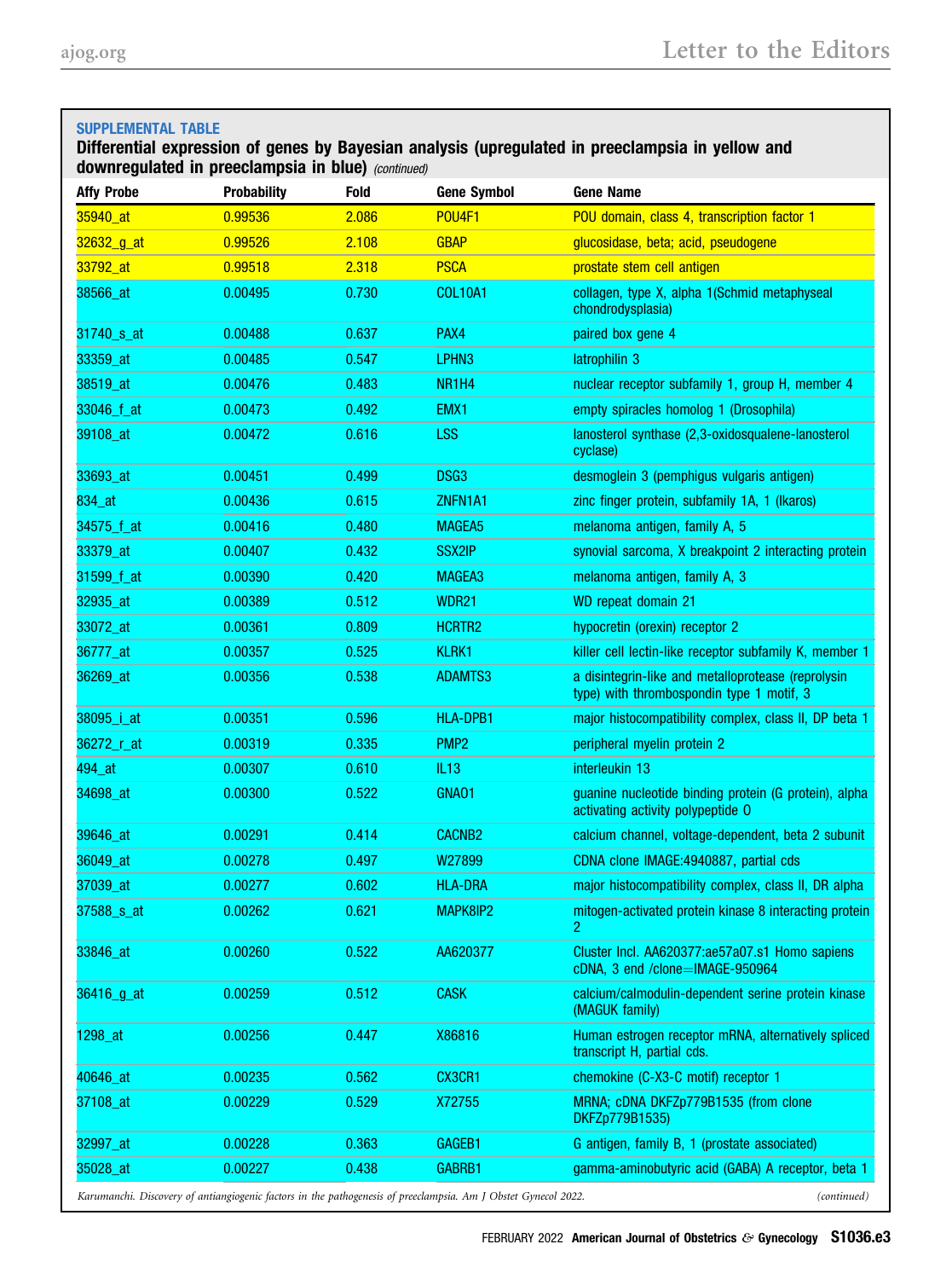| <b>SUPPLEMENTAL TABLE</b><br>Differential expression of genes by Bayesian analysis (upregulated in preeclampsia in yellow and<br>downregulated in preeclampsia in blue) (continued) |                    |             |                                |                                                                                                 |
|-------------------------------------------------------------------------------------------------------------------------------------------------------------------------------------|--------------------|-------------|--------------------------------|-------------------------------------------------------------------------------------------------|
| <b>Affy Probe</b>                                                                                                                                                                   | <b>Probability</b> | <b>Fold</b> | <b>Gene Symbol</b>             | <b>Gene Name</b>                                                                                |
| 35940_at                                                                                                                                                                            | 0.99536            | 2.086       | <b>POU4F1</b>                  | POU domain, class 4, transcription factor 1                                                     |
| 32632_g_at                                                                                                                                                                          | 0.99526            | 2.108       | <b>GBAP</b>                    | glucosidase, beta; acid, pseudogene                                                             |
| 33792_at                                                                                                                                                                            | 0.99518            | 2.318       | <b>PSCA</b>                    | prostate stem cell antigen                                                                      |
| 38566_at                                                                                                                                                                            | 0.00495            | 0.730       | <b>COL10A1</b>                 | collagen, type X, alpha 1(Schmid metaphyseal<br>chondrodysplasia)                               |
| 31740 <sub>_S_at</sub>                                                                                                                                                              | 0.00488            | 0.637       | PAX4                           | paired box gene 4                                                                               |
| 33359_at                                                                                                                                                                            | 0.00485            | 0.547       | LPHN <sub>3</sub>              | latrophilin 3                                                                                   |
| 38519_at                                                                                                                                                                            | 0.00476            | 0.483       | NR <sub>1</sub> H <sub>4</sub> | nuclear receptor subfamily 1, group H, member 4                                                 |
| 33046_f_at                                                                                                                                                                          | 0.00473            | 0.492       | EMX1                           | empty spiracles homolog 1 (Drosophila)                                                          |
| 39108_at                                                                                                                                                                            | 0.00472            | 0.616       | <b>LSS</b>                     | lanosterol synthase (2,3-oxidosqualene-lanosterol<br>cyclase)                                   |
| 33693_at                                                                                                                                                                            | 0.00451            | 0.499       | DSG3                           | desmoglein 3 (pemphigus vulgaris antigen)                                                       |
| 834_at                                                                                                                                                                              | 0.00436            | 0.615       | ZNFN1A1                        | zinc finger protein, subfamily 1A, 1 (Ikaros)                                                   |
| 34575_f_at                                                                                                                                                                          | 0.00416            | 0.480       | <b>MAGEA5</b>                  | melanoma antigen, family A, 5                                                                   |
| 33379_at                                                                                                                                                                            | 0.00407            | 0.432       | <b>SSX2IP</b>                  | synovial sarcoma, X breakpoint 2 interacting protein                                            |
| 31599_f_at                                                                                                                                                                          | 0.00390            | 0.420       | MAGEA3                         | melanoma antigen, family A, 3                                                                   |
| 32935_at                                                                                                                                                                            | 0.00389            | 0.512       | WDR21                          | WD repeat domain 21                                                                             |
| 33072_at                                                                                                                                                                            | 0.00361            | 0.809       | HCRTR2                         | hypocretin (orexin) receptor 2                                                                  |
| 36777_at                                                                                                                                                                            | 0.00357            | 0.525       | <b>KLRK1</b>                   | killer cell lectin-like receptor subfamily K, member 1                                          |
| 36269_at                                                                                                                                                                            | 0.00356            | 0.538       | <b>ADAMTS3</b>                 | a disintegrin-like and metalloprotease (reprolysin<br>type) with thrombospondin type 1 motif, 3 |
| 38095_i_at                                                                                                                                                                          | 0.00351            | 0.596       | HLA-DPB1                       | major histocompatibility complex, class II, DP beta 1                                           |
| 36272_r_at                                                                                                                                                                          | 0.00319            | 0.335       | PMP <sub>2</sub>               | peripheral myelin protein 2                                                                     |
| 494 at                                                                                                                                                                              | 0.00307            | 0.610       | IL13                           | interleukin 13                                                                                  |
| 34698_at                                                                                                                                                                            | 0.00300            | 0.522       | GNA01                          | guanine nucleotide binding protein (G protein), alpha<br>activating activity polypeptide O      |
| 39646_at                                                                                                                                                                            | 0.00291            | 0.414       | <b>CACNB2</b>                  | calcium channel, voltage-dependent, beta 2 subunit                                              |
| 36049_at                                                                                                                                                                            | 0.00278            | 0.497       | W <sub>27899</sub>             | CDNA clone IMAGE:4940887, partial cds                                                           |
| 37039_at                                                                                                                                                                            | 0.00277            | 0.602       | <b>HLA-DRA</b>                 | major histocompatibility complex, class II, DR alpha                                            |
| 37588 s at                                                                                                                                                                          | 0.00262            | 0.621       | MAPK8IP2                       | mitogen-activated protein kinase 8 interacting protein<br>2                                     |
| 33846_at                                                                                                                                                                            | 0.00260            | 0.522       | AA620377                       | Cluster Incl. AA620377:ae57a07.s1 Homo sapiens<br>cDNA, 3 end /clone=IMAGE-950964               |
| 36416_g_at                                                                                                                                                                          | 0.00259            | 0.512       | <b>CASK</b>                    | calcium/calmodulin-dependent serine protein kinase<br>(MAGUK family)                            |
| 1298_at                                                                                                                                                                             | 0.00256            | 0.447       | X86816                         | Human estrogen receptor mRNA, alternatively spliced<br>transcript H, partial cds.               |
| 40646_at                                                                                                                                                                            | 0.00235            | 0.562       | CX3CR1                         | chemokine (C-X3-C motif) receptor 1                                                             |
| 37108_at                                                                                                                                                                            | 0.00229            | 0.529       | X72755                         | MRNA; cDNA DKFZp779B1535 (from clone<br>DKFZp779B1535)                                          |
| 32997_at                                                                                                                                                                            | 0.00228            | 0.363       | GAGEB1                         | G antigen, family B, 1 (prostate associated)                                                    |
| 35028_at                                                                                                                                                                            | 0.00227            | 0.438       | GABRB1                         | gamma-aminobutyric acid (GABA) A receptor, beta 1                                               |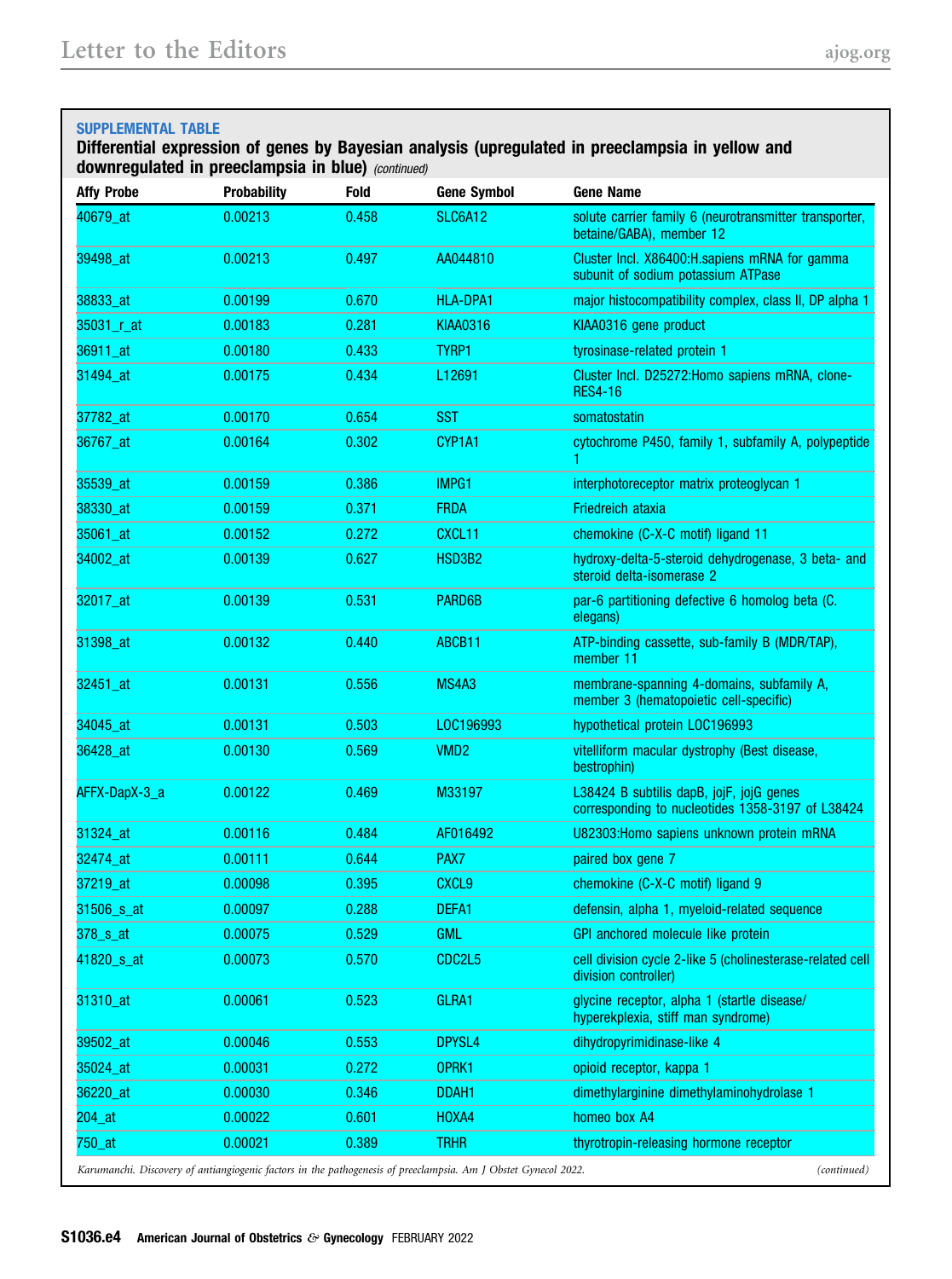## SUPPLEMENTAL TABLE

## Differential expression of genes by Bayesian analysis (upregulated in preeclampsia in yellow and downregulated in preeclampsia in blue) (continued)

| <b>Affy Probe</b>                    | <b>Probability</b> | <b>Fold</b> | <b>Gene Symbol</b>                                                                                             | <b>Gene Name</b>                                                                             |
|--------------------------------------|--------------------|-------------|----------------------------------------------------------------------------------------------------------------|----------------------------------------------------------------------------------------------|
| 40679_at                             | 0.00213            | 0.458       | <b>SLC6A12</b>                                                                                                 | solute carrier family 6 (neurotransmitter transporter,<br>betaine/GABA), member 12           |
| 39498_at                             | 0.00213            | 0.497       | AA044810                                                                                                       | Cluster Incl. X86400:H.sapiens mRNA for gamma<br>subunit of sodium potassium ATPase          |
| 38833_at                             | 0.00199            | 0.670       | <b>HLA-DPA1</b>                                                                                                | major histocompatibility complex, class II, DP alpha 1                                       |
| 35031_r_at                           | 0.00183            | 0.281       | <b>KIAA0316</b>                                                                                                | KIAA0316 gene product                                                                        |
| 36911_at                             | 0.00180            | 0.433       | TYRP1                                                                                                          | tyrosinase-related protein 1                                                                 |
| 31494_at                             | 0.00175            | 0.434       | L12691                                                                                                         | Cluster Incl. D25272: Homo sapiens mRNA, clone-<br><b>RES4-16</b>                            |
| 37782_at                             | 0.00170            | 0.654       | <b>SST</b>                                                                                                     | somatostatin                                                                                 |
| 36767_at                             | 0.00164            | 0.302       | CYP1A1                                                                                                         | cytochrome P450, family 1, subfamily A, polypeptide<br>1                                     |
| 35539_at                             | 0.00159            | 0.386       | IMPG1                                                                                                          | interphotoreceptor matrix proteoglycan 1                                                     |
| 38330_at                             | 0.00159            | 0.371       | <b>FRDA</b>                                                                                                    | <b>Friedreich ataxia</b>                                                                     |
| 35061_at                             | 0.00152            | 0.272       | CXCL11                                                                                                         | chemokine (C-X-C motif) ligand 11                                                            |
| 34002_at                             | 0.00139            | 0.627       | HSD3B2                                                                                                         | hydroxy-delta-5-steroid dehydrogenase, 3 beta- and<br>steroid delta-isomerase 2              |
| 32017_at                             | 0.00139            | 0.531       | PARD6B                                                                                                         | par-6 partitioning defective 6 homolog beta (C.<br>elegans)                                  |
| 31398_at                             | 0.00132            | 0.440       | ABCB11                                                                                                         | ATP-binding cassette, sub-family B (MDR/TAP),<br>member 11                                   |
| 32451 at                             | 0.00131            | 0.556       | MS4A3                                                                                                          | membrane-spanning 4-domains, subfamily A,<br>member 3 (hematopoietic cell-specific)          |
| 34045 at                             | 0.00131            | 0.503       | LOC196993                                                                                                      | hypothetical protein LOC196993                                                               |
| 36428_at                             | 0.00130            | 0.569       | VMD <sub>2</sub>                                                                                               | vitelliform macular dystrophy (Best disease,<br>bestrophin)                                  |
| AFFX-DapX-3_a                        | 0.00122            | 0.469       | M33197                                                                                                         | L38424 B subtilis dapB, jojF, jojG genes<br>corresponding to nucleotides 1358-3197 of L38424 |
| 31324 at                             | 0.00116            | 0.484       | AF016492                                                                                                       | U82303: Homo sapiens unknown protein mRNA                                                    |
| 32474_at                             | 0.00111            | 0.644       | PAX7                                                                                                           | paired box gene 7                                                                            |
| 37219_at                             | 0.00098            | 0.395       | <b>CXCL9</b>                                                                                                   | chemokine (C-X-C motif) ligand 9                                                             |
| 31506 s at                           | 0.00097            | 0.288       | DEFA1                                                                                                          | defensin, alpha 1, myeloid-related sequence                                                  |
| $378$ <sub>_<math>s</math></sub> _at | 0.00075            | 0.529       | <b>GML</b>                                                                                                     | GPI anchored molecule like protein                                                           |
| 41820 <sub>_S_at</sub>               | 0.00073            | 0.570       | CDC2L5                                                                                                         | cell division cycle 2-like 5 (cholinesterase-related cell<br>division controller)            |
| 31310_at                             | 0.00061            | 0.523       | GLRA1                                                                                                          | glycine receptor, alpha 1 (startle disease/<br>hyperekplexia, stiff man syndrome)            |
| 39502_at                             | 0.00046            | 0.553       | DPYSL4                                                                                                         | dihydropyrimidinase-like 4                                                                   |
| 35024_at                             | 0.00031            | 0.272       | OPRK1                                                                                                          | opioid receptor, kappa 1                                                                     |
| 36220_at                             | 0.00030            | 0.346       | DDAH <sub>1</sub>                                                                                              | dimethylarginine dimethylaminohydrolase 1                                                    |
| 204 at                               | 0.00022            | 0.601       | HOXA4                                                                                                          | homeo box A4                                                                                 |
| 750_at                               | 0.00021            | 0.389       | <b>TRHR</b>                                                                                                    | thyrotropin-releasing hormone receptor                                                       |
|                                      |                    |             | Karumanchi. Discovery of antiangiogenic factors in the pathogenesis of preeclampsia. Am J Obstet Gynecol 2022. | (continued)                                                                                  |